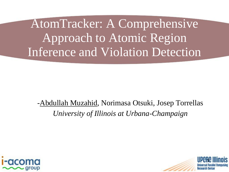AtomTracker: A Comprehensive Approach to Atomic Region Inference and Violation Detection

-Abdullah Muzahid, Norimasa Otsuki, Josep Torrellas *University of Illinois at Urbana-Champaign*



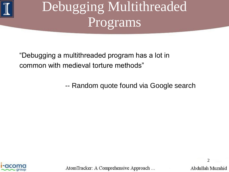

# Debugging Multithreaded Programs

"Debugging a multithreaded program has a lot in common with medieval torture methods"

-- Random quote found via Google search

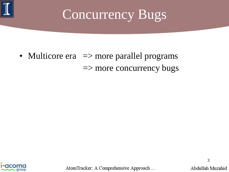

• Multicore era  $\Rightarrow$  more parallel programs => more concurrency bugs

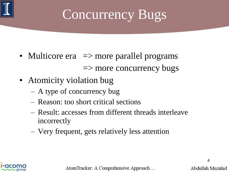

## Concurrency Bugs

- Multicore era  $\Rightarrow$  more parallel programs  $\Rightarrow$  more concurrency bugs
- Atomicity violation bug
	- A type of concurrency bug
	- Reason: too short critical sections
	- Result: accesses from different threads interleave incorrectly
	- Very frequent, gets relatively less attention

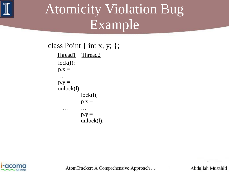

# Atomicity Violation Bug Example

class Point { int x, y; };

Thread1 Thread2  $lock(1);$  $p.x = ...$  $\mathbf{u}$  ,  $\mathbf{u}$ ;  $\mathbf{u}$ ;  $\mathbf{u}$ ;  $\mathbf{u}$ ;  $\mathbf{u}$ ;  $\mathbf{u}$ ;  $\mathbf{u}$ ;  $\mathbf{u}$ ;  $\mathbf{u}$ ;  $\mathbf{u}$ ;  $\mathbf{u}$ ;  $\mathbf{u}$ ;  $\mathbf{u}$ ;  $\mathbf{u}$ ;  $\mathbf{u}$ ;  $\mathbf{u}$ ;  $\mathbf{u}$ ;  $\mathbf{u}$ ;  $\mathbf{u}$ ;  $\mathbf{u}$ ;  $\mathbf{u}$ ;  $p.y = ...$  $unlock(1);$  $lock(l);$  $p.x = ...$ . The contract of the contract of the contract of the contract of the contract of the contract of the contract of the contract of the contract of the contract of the contract of the contract of the contract of the contrac  $p.y = ...$ unlock $(l)$ ;



AtomTracker: A Comprehensive Approach ...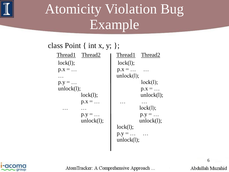

# Atomicity Violation Bug Example

#### class Point { int x, y; };

| Thread1 Thread2 | Thread1 Thread2 |
|-----------------|-----------------|
| lock(1);        | lock(l);        |
| $p.x = $        | $p.x = $        |
|                 | unlock(1);      |
| $p.y = $        | lock(1);        |
| unlock(1);      | $p.x = $        |
| lock(1);        | unlock(1);      |
| $p.x = $        | $\ddotsc$       |
|                 | lock(1);        |
| $p.y = $        | $p.y = $        |
| unlock(1);      | unlock(1);      |
|                 | lock(1);        |
|                 | $p.y = $        |
|                 | unlock(1);      |



AtomTracker: A Comprehensive Approach ...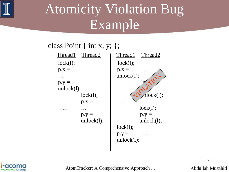

# Atomicity Violation Bug Example

#### class Point { int x, y; };

| Thread1 Thread2 | Thread1 Thread2 |
|-----------------|-----------------|
| lock(1);        | lock(1);        |
| $p.x = $        | $p.x = $        |
|                 | unlock(1);      |
| $p.y = $        |                 |
| unlock(1);      |                 |
| lock(l);        | Alock(1);       |
| $p.x = $        |                 |
|                 | lock(1);        |
| $p.y = $        | $p.y = $        |
| unlock(1);      | unlock(1);      |
|                 | lock(1);        |
|                 | $p.y = $        |
|                 | unlock(1);      |
|                 |                 |



AtomTracker: A Comprehensive Approach ...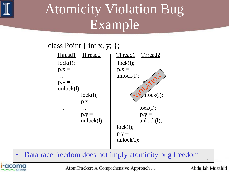

**I-acomc** 

# Atomicity Violation Bug Example

#### class Point { int x, y; };



#### • Data race freedom does not imply atomicity bug freedom

8

AtomTracker: A Comprehensive Approach ...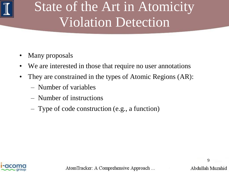

# State of the Art in Atomicity Violation Detection

- Many proposals
- We are interested in those that require no user annotations
- They are constrained in the types of Atomic Regions (AR):
	- Number of variables
	- Number of instructions
	- Type of code construction (e.g., a function)

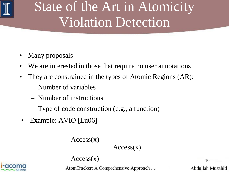

# State of the Art in Atomicity Violation Detection

- Many proposals
- We are interested in those that require no user annotations
- They are constrained in the types of Atomic Regions (AR):
	- Number of variables
	- Number of instructions
	- Type of code construction (e.g., a function)
- Example: AVIO [Lu06]

 $Access(x)$ 

 $Access(x)$ 

 $Access(x)$ 

AtomTracker: A Comprehensive Approach ...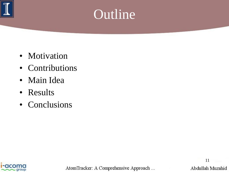

#### Outline

- Motivation
- Contributions
- Main Idea
- Results
- Conclusions



AtomTracker: A Comprehensive Approach ...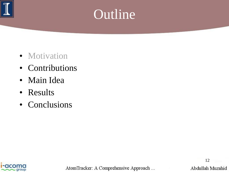

### Outline

- Motivation
- Contributions
- Main Idea
- Results
- Conclusions

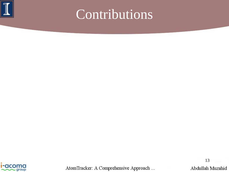



AtomTracker: A Comprehensive Approach ...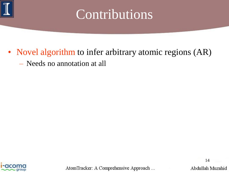

- Novel algorithm to infer arbitrary atomic regions (AR)
	- Needs no annotation at all

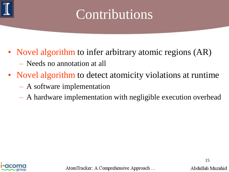

- Novel algorithm to infer arbitrary atomic regions (AR)
	- Needs no annotation at all
- Novel algorithm to detect atomicity violations at runtime
	- A software implementation
	- A hardware implementation with negligible execution overhead

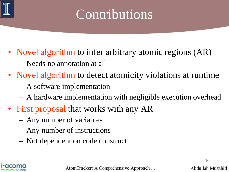

- Novel algorithm to infer arbitrary atomic regions (AR)
	- Needs no annotation at all
- Novel algorithm to detect atomicity violations at runtime
	- A software implementation
	- A hardware implementation with negligible execution overhead
- First proposal that works with any AR
	- Any number of variables
	- Any number of instructions
	- Not dependent on code construct

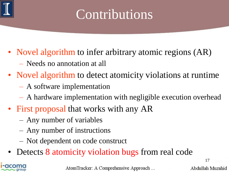

- Novel algorithm to infer arbitrary atomic regions (AR)
	- Needs no annotation at all
- Novel algorithm to detect atomicity violations at runtime
	- A software implementation
	- A hardware implementation with negligible execution overhead
- First proposal that works with any AR
	- Any number of variables
	- Any number of instructions
	- Not dependent on code construct
- Detects 8 atomicity violation bugs from real code



AtomTracker: A Comprehensive Approach ...

Abdullah Muzahid

17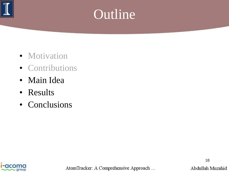

### Outline

- Motivation
- Contributions
- Main Idea
- Results
- Conclusions

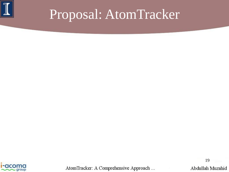



AtomTracker: A Comprehensive Approach ...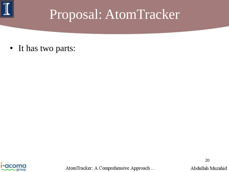

• It has two parts:



AtomTracker: A Comprehensive Approach ...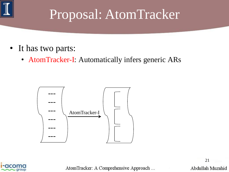

- It has two parts:
	- AtomTracker-I: Automatically infers generic ARs





AtomTracker: A Comprehensive Approach ...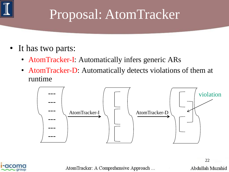

- It has two parts:
	- AtomTracker-I: Automatically infers generic ARs
	- AtomTracker-D: Automatically detects violations of them at runtime





AtomTracker: A Comprehensive Approach ...

Abdullah Muzahid

22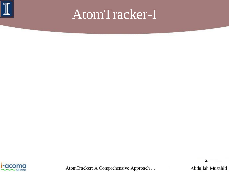



AtomTracker: A Comprehensive Approach ...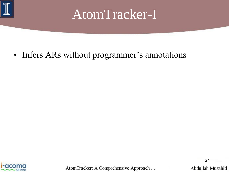

• Infers ARs without programmer's annotations



AtomTracker: A Comprehensive Approach ...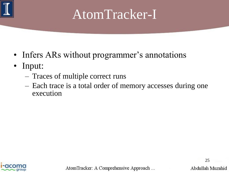

- Infers ARs without programmer's annotations
- Input:
	- Traces of multiple correct runs
	- Each trace is a total order of memory accesses during one execution

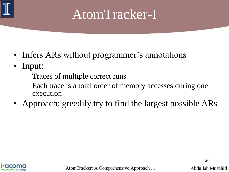

- Infers ARs without programmer's annotations
- Input:
	- Traces of multiple correct runs
	- Each trace is a total order of memory accesses during one execution
- Approach: greedily try to find the largest possible ARs

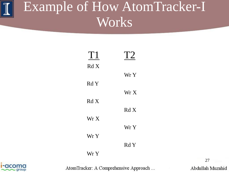| T1   | T2   |
|------|------|
| RdX  |      |
|      | Wr Y |
| Rd Y | Wr X |
| RdX  |      |
|      | RdX  |
| Wr X |      |
|      | Wr Y |
| Wr Y | Rd Y |
| Wr Y |      |



AtomTracker: A Comprehensive Approach ...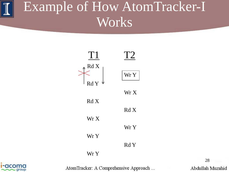



AtomTracker: A Comprehensive Approach ...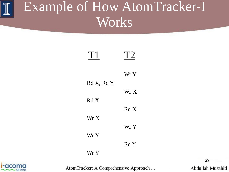| T1         | T2   |
|------------|------|
|            | Wr Y |
| Rd X, Rd Y | Wr X |
| RdX        | RdX  |
| Wr X       | Wr Y |
| Wr Y       |      |
| Wr Y       | Rd Y |



AtomTracker: A Comprehensive Approach ...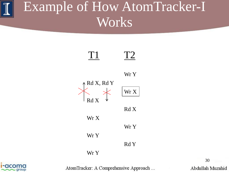



AtomTracker: A Comprehensive Approach ...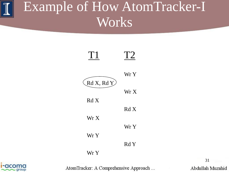



AtomTracker: A Comprehensive Approach ...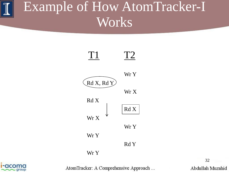



AtomTracker: A Comprehensive Approach ...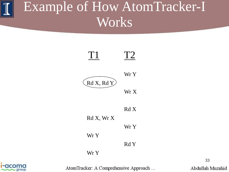

Rd Y

Wr Y



AtomTracker: A Comprehensive Approach ...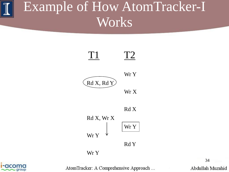



Wr X

Wr Y







AtomTracker: A Comprehensive Approach ...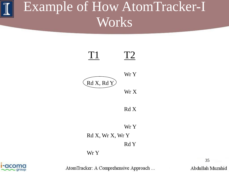



Wr Y Rd X, Wr X, Wr Y Rd Y

Wr Y



AtomTracker: A Comprehensive Approach ...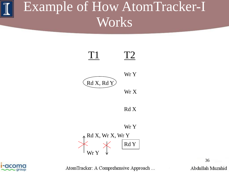



AtomTracker: A Comprehensive Approach ...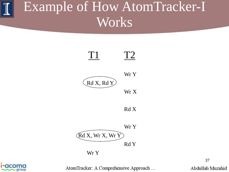#### Example of How AtomTracker-I Works





AtomTracker: A Comprehensive Approach ...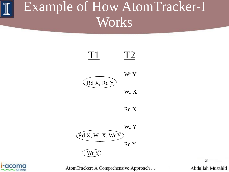#### Example of How AtomTracker-I Works





AtomTracker: A Comprehensive Approach ...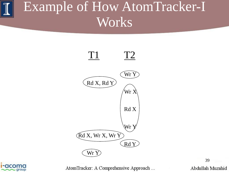#### Example of How AtomTracker-I Works





AtomTracker: A Comprehensive Approach ...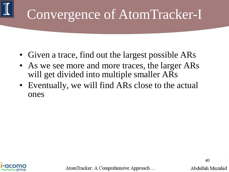# Convergence of AtomTracker-I

- Given a trace, find out the largest possible ARs
- As we see more and more traces, the larger ARs will get divided into multiple smaller ARs
- Eventually, we will find ARs close to the actual ones



AtomTracker: A Comprehensive Approach ...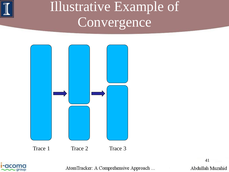

#### Illustrative Example of Convergence





AtomTracker: A Comprehensive Approach ...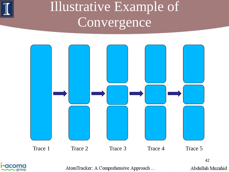

#### Illustrative Example of Convergence





AtomTracker: A Comprehensive Approach ...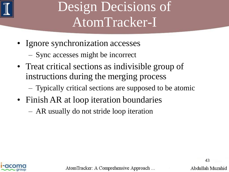

#### Design Decisions of AtomTracker-I

- Ignore synchronization accesses
	- Sync accesses might be incorrect
- Treat critical sections as indivisible group of instructions during the merging process
	- Typically critical sections are supposed to be atomic
- Finish AR at loop iteration boundaries
	- AR usually do not stride loop iteration



AtomTracker: A Comprehensive Approach ...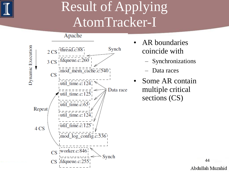

#### Result of Applying AtomTracker-I

Apache



- AR boundaries coincide with
	- Synchronizations
	- Data races
- Some AR contain multiple critical sections (CS)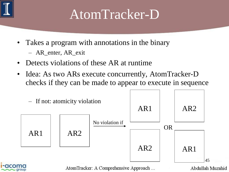

#### AtomTracker-D

- Takes a program with annotations in the binary
	- AR\_enter, AR\_exit
- Detects violations of these AR at runtime
- Idea: As two ARs execute concurrently, AtomTracker-D checks if they can be made to appear to execute in sequence

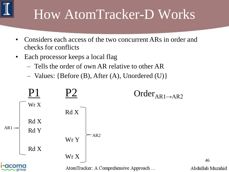- Considers each access of the two concurrent ARs in order and checks for conflicts
- Each processor keeps a local flag
	- Tells the order of own AR relative to other AR
	- Values: {Before (B), After (A), Unordered (U)}

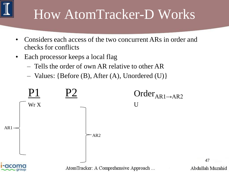- Considers each access of the two concurrent ARs in order and checks for conflicts
- Each processor keeps a local flag
	- Tells the order of own AR relative to other AR
	- Values: {Before (B), After (A), Unordered (U)}

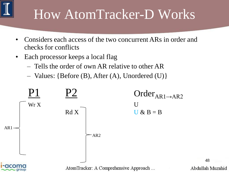- Considers each access of the two concurrent ARs in order and checks for conflicts
- Each processor keeps a local flag
	- Tells the order of own AR relative to other AR
	- Values: {Before (B), After (A), Unordered (U)}

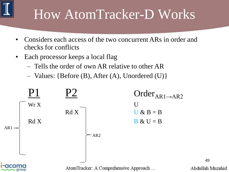- Considers each access of the two concurrent ARs in order and checks for conflicts
- Each processor keeps a local flag
	- Tells the order of own AR relative to other AR
	- Values: {Before (B), After (A), Unordered (U)}

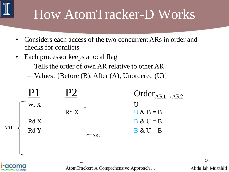- Considers each access of the two concurrent ARs in order and checks for conflicts
- Each processor keeps a local flag
	- Tells the order of own AR relative to other AR
	- Values: {Before (B), After (A), Unordered (U)}

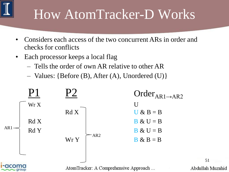- Considers each access of the two concurrent ARs in order and checks for conflicts
- Each processor keeps a local flag
	- Tells the order of own AR relative to other AR
	- Values: {Before (B), After (A), Unordered (U)}

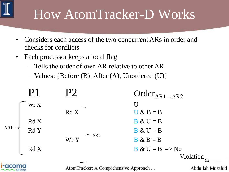- Considers each access of the two concurrent ARs in order and checks for conflicts
- Each processor keeps a local flag
	- Tells the order of own AR relative to other AR
	- Values: {Before (B), After (A), Unordered (U)}

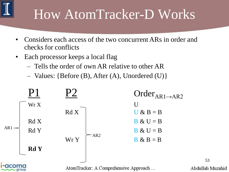- Considers each access of the two concurrent ARs in order and checks for conflicts
- Each processor keeps a local flag
	- Tells the order of own AR relative to other AR
	- Values: {Before (B), After (A), Unordered (U)}

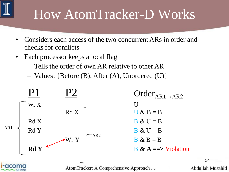- Considers each access of the two concurrent ARs in order and checks for conflicts
- Each processor keeps a local flag
	- Tells the order of own AR relative to other AR
	- Values: {Before (B), After (A), Unordered (U)}

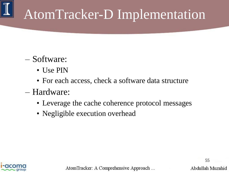# AtomTracker-D Implementation

#### – Software:

- Use PIN
- For each access, check a software data structure
- Hardware:
	- Leverage the cache coherence protocol messages
	- Negligible execution overhead



AtomTracker: A Comprehensive Approach ...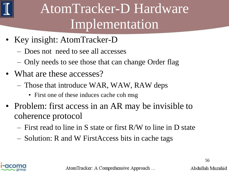

#### AtomTracker-D Hardware Implementation

- Key insight: AtomTracker-D
	- Does not need to see all accesses
	- Only needs to see those that can change Order flag
- What are these accesses?
	- Those that introduce WAR, WAW, RAW deps
		- First one of these induces cache coh msg
- Problem: first access in an AR may be invisible to coherence protocol
	- First read to line in S state or first R/W to line in D state
	- Solution: R and W FirstAccess bits in cache tags



AtomTracker: A Comprehensive Approach ...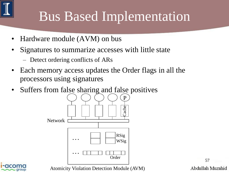## Bus Based Implementation

- Hardware module (AVM) on bus
- Signatures to summarize accesses with little state
	- Detect ordering conflicts of ARs
- Each memory access updates the Order flags in all the processors using signatures
- Suffers from false sharing and false positives



57 Abdullah Muzahid



Atomicity Violation Detection Module (AVM)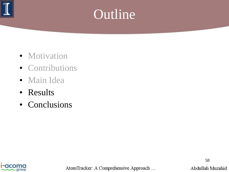

#### Outline

- Motivation
- Contributions
- Main Idea
- Results
- Conclusions



AtomTracker: A Comprehensive Approach ...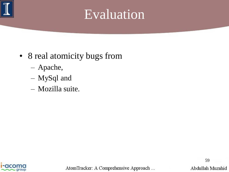

#### Evaluation

- 8 real atomicity bugs from
	- Apache,
	- MySql and
	- Mozilla suite.



AtomTracker: A Comprehensive Approach ...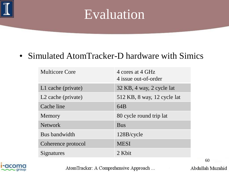

#### Evaluation

#### • Simulated AtomTracker-D hardware with Simics

| <b>Multicore Core</b> | 4 cores at 4 GHz<br>4 issue out-of-order |
|-----------------------|------------------------------------------|
| L1 cache (private)    | 32 KB, 4 way, 2 cycle lat                |
| L2 cache (private)    | 512 KB, 8 way, 12 cycle lat              |
| Cache line            | 64B                                      |
| Memory                | 80 cycle round trip lat                  |
| <b>Network</b>        | <b>Bus</b>                               |
| Bus bandwidth         | 128B/cycle                               |
| Coherence protocol    | <b>MESI</b>                              |
| Signatures            | 2 Khit                                   |



AtomTracker: A Comprehensive Approach ...

Abdullah Muzahid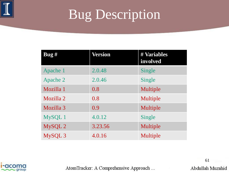

#### Bug Description

| $\log H$  | Version | # Variables<br>involved |
|-----------|---------|-------------------------|
| Apache 1  | 2.0.48  | Single                  |
| Apache 2  | 2.0.46  | Single                  |
| Mozilla 1 | 0.8     | Multiple                |
| Mozilla 2 | 0.8     | Multiple                |
| Mozilla 3 | 0.9     | Multiple                |
| MySQL 1   | 4.0.12  | Single                  |
| MySQL 2   | 3.23.56 | Multiple                |
| MySQL 3   | 4.0.16  | Multiple                |



AtomTracker: A Comprehensive Approach ...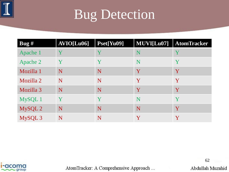

| $\log H$  | AVIO[Lu06] | Pset[Yu09] | MUVI[Lu07]  | <b>AtomTracker</b> |
|-----------|------------|------------|-------------|--------------------|
| Apache 1  | Y          | Y          | $\mathbf N$ | Y                  |
| Apache 2  | Y          | Y          | N           | Y                  |
| Mozilla 1 | N          | N          | Y           | Y                  |
| Mozilla 2 | N          | N          | Y           | Y                  |
| Mozilla 3 | N          | N          | Y           | Y                  |
| MySQL 1   | Y          | Y          | $\mathbf N$ | Y                  |
| MySQL 2   | N          | N          | N           | Y                  |
| MySQL 3   | N          | N          | Y           | Y                  |



AtomTracker: A Comprehensive Approach ...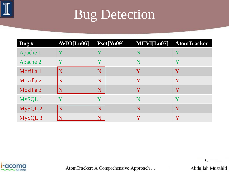

| Bug $#$   | AVIO[Lu06] | Pset[Yu09] | MUVI[Lu07]  | <b>AtomTracker</b> |
|-----------|------------|------------|-------------|--------------------|
| Apache 1  |            |            | $\mathbf N$ | Y                  |
| Apache 2  | Y          | Y          | $\mathbf N$ | Y                  |
| Mozilla 1 | N          | N          | Y           | Y                  |
| Mozilla 2 | N          | N          | Y           | Y                  |
| Mozilla 3 |            | N          | Y           | Y                  |
| MySQL 1   |            |            | N           | Y                  |
| MySQL 2   |            | N          | N           | Y                  |
| MySQL 3   |            | N          | Y           | Y                  |



AtomTracker: A Comprehensive Approach ...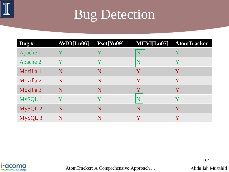

| $\log H$  | AVIO[Lu06] | Pset[Yu09]  | MUVI[Lu07]     | <b>AtomTracker</b> |
|-----------|------------|-------------|----------------|--------------------|
| Apache 1  | Y          | Y           | $\mathbf N$    | Y                  |
| Apache 2  | Y          | Y           | N              | Y                  |
| Mozilla 1 | N          | N           | Y              | Y                  |
| Mozilla 2 | N          | N           | Y              | Y                  |
| Mozilla 3 | N          | N           | $\mathbf{{V}}$ | Y                  |
| MySQL 1   | Y          | $\mathbf V$ |                | Y                  |
| MySQL 2   | N          | N           | N              | Y                  |
| MySQL 3   | N          | N           | Y              | Y                  |



AtomTracker: A Comprehensive Approach ...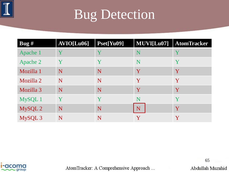

| $\log H$  | AVIO[Lu06] | Pset[Yu09] | MUVI[Lu07]  | <b>AtomTracker</b> |
|-----------|------------|------------|-------------|--------------------|
| Apache 1  | Y          | Y          | $\mathbf N$ | Y                  |
| Apache 2  | Y          | Y          | N           | Y                  |
| Mozilla 1 | N          | N          | Y           | Y                  |
| Mozilla 2 | N          | N          | Y           | Y                  |
| Mozilla 3 | N          | N          | Y           | Y                  |
| MySQL 1   | Y          | Y          | $\mathbf N$ | Y                  |
| MySQL 2   | N          | N          | N           | Y                  |
| MySQL 3   | N          | N          | Y           | Y                  |



AtomTracker: A Comprehensive Approach ...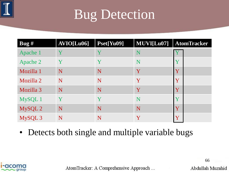

| Bug $#$   | AVIO[Lu06] | Pset[Yu09] | MUVI[Lu07]  | <b>AtomTracker</b>      |
|-----------|------------|------------|-------------|-------------------------|
| Apache 1  | Y          |            | $\mathbf N$ |                         |
| Apache 2  | Y          | Y          | $\mathbf N$ | $\mathbf V$             |
| Mozilla 1 | N          | N          | Y           | $\mathbf{Y}$            |
| Mozilla 2 | N          | N          | Y           | Y                       |
| Mozilla 3 | N          | N          | Y           | $\mathbf{{Y}}$          |
| MySQL 1   | Y          | Y          | N           | $\overline{\mathbf{V}}$ |
| MySQL 2   | N          | N          | N           | $\overline{\mathbf{V}}$ |
| MySQL 3   | N          | N          | Y           | $\bar{\mathbf{V}}$      |

• Detects both single and multiple variable bugs



AtomTracker: A Comprehensive Approach ...

Abdullah Muzahid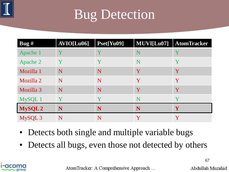

| $\log H$  | AVIO[Lu06] | Pset[Yu09] | MUVI[Lu07] | <b>AtomTracker</b> |
|-----------|------------|------------|------------|--------------------|
| Apache 1  | Y          | Y          | N          | Y                  |
| Apache 2  | Y          | Y          | N          | Y                  |
| Mozilla 1 | N          | N          | Y          | Y                  |
| Mozilla 2 | N          | N          | Y          | Y                  |
| Mozilla 3 | N          | N          | Y          | Y                  |
| MySQL 1   | Y          | Y          | N          | Y                  |
| MySQL2    | N          | N          | N          | $\mathbf{Y}$       |
| MySQL 3   | N          | N          | Y          | Y                  |

- Detects both single and multiple variable bugs
- Detects all bugs, even those not detected by others



AtomTracker: A Comprehensive Approach ...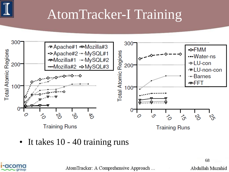

#### AtomTracker-I Training



• It takes 10 - 40 training runs



AtomTracker: A Comprehensive Approach ...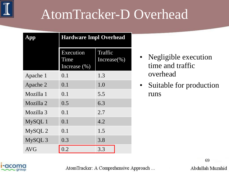#### AtomTracker-D Overhead

| App        | <b>Hardware Impl Overhead</b>         |                             |  |
|------------|---------------------------------------|-----------------------------|--|
|            | Execution<br>Time<br>Increase $(\% )$ | Traffic<br>Increase $(\% )$ |  |
| Apache 1   | 0.1                                   | 1.3                         |  |
| Apache 2   | 0.1                                   | 1.0                         |  |
| Mozilla 1  | 0.1                                   | 5.5                         |  |
| Mozilla 2  | 0.5                                   | 6.3                         |  |
| Mozilla 3  | 0.1                                   | 2.7                         |  |
| MySQL 1    | 0.1                                   | 4.2                         |  |
| MySQL 2    | 0.1                                   | 1.5                         |  |
| MySQL3     | 0.3                                   | 3.8                         |  |
| <b>AVG</b> | 0.2                                   | 3.3                         |  |

- Negligible execution time and traffic overhead
- Suitable for production runs



AtomTracker: A Comprehensive Approach ...

69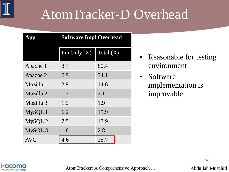#### AtomTracker-D Overhead

| App        | <b>Software Impl Overhead</b> |             |  |
|------------|-------------------------------|-------------|--|
|            | Pin Only $(X)$                | Total $(X)$ |  |
| Apache 1   | 8.7                           | 80.4        |  |
| Apache 2   | 6.9                           | 74.1        |  |
| Mozilla 1  | 2.9                           | 14.6        |  |
| Mozilla 2  | 1.3                           | 2.1         |  |
| Mozilla 3  | 1.5                           | 1.9         |  |
| MySQL 1    | 6.2                           | 15.9        |  |
| MySQL 2    | 7.5                           | 13.9        |  |
| MySQL3     | 1.8                           | 2.8         |  |
| <b>AVG</b> | 4.6                           | 25.7        |  |

- Reasonable for testing environment
- Software implementation is improvable



AtomTracker: A Comprehensive Approach ...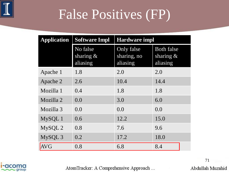

#### False Positives (FP)

| <b>Application</b> | <b>Software Impl</b>                 | <b>Hardware impl</b>                  |                                               |  |
|--------------------|--------------------------------------|---------------------------------------|-----------------------------------------------|--|
|                    | No false<br>sharing $\&$<br>aliasing | Only false<br>sharing, no<br>aliasing | <b>Both false</b><br>sharing $\&$<br>aliasing |  |
| Apache 1           | 1.8                                  | 2.0                                   | 2.0                                           |  |
| Apache 2           | 2.6                                  | 10.4                                  | 14.4                                          |  |
| Mozilla 1          | 0.4                                  | 1.8                                   | 1.8                                           |  |
| Mozilla 2          | 0.0                                  | 3.0                                   | 6.0                                           |  |
| Mozilla 3          | 0.0                                  | 0.0                                   | 0.0                                           |  |
| MySQL 1            | 0.6                                  | 12.2                                  | 15.0                                          |  |
| MySQL 2            | 0.8                                  | 7.6                                   | 9.6                                           |  |
| MySQL 3            | 0.2                                  | 17.2                                  | 18.0                                          |  |
| <b>AVG</b>         | 0.8                                  | 6.8                                   | 8.4                                           |  |



AtomTracker: A Comprehensive Approach ...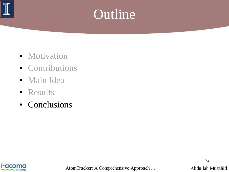

#### Outline

- Motivation
- Contributions
- Main Idea
- Results
- Conclusions



AtomTracker: A Comprehensive Approach ...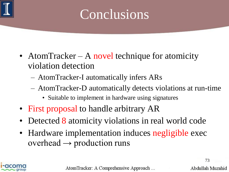

## Conclusions

- AtomTracker A novel technique for atomicity violation detection
	- AtomTracker-I automatically infers ARs
	- AtomTracker-D automatically detects violations at run-time
		- Suitable to implement in hardware using signatures
- First proposal to handle arbitrary AR
- Detected 8 atomicity violations in real world code
- Hardware implementation induces negligible exec overhead  $\rightarrow$  production runs



AtomTracker: A Comprehensive Approach ...

73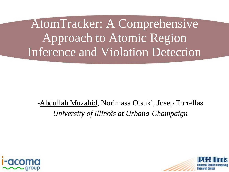AtomTracker: A Comprehensive Approach to Atomic Region Inference and Violation Detection

-Abdullah Muzahid, Norimasa Otsuki, Josep Torrellas *University of Illinois at Urbana-Champaign*



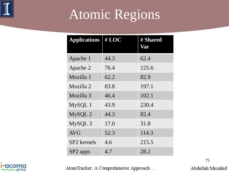

# Atomic Regions

| <b>Applications</b> | #LOC | # Shared<br>Var |
|---------------------|------|-----------------|
| Apache 1            | 44.3 | 62.4            |
| Apache 2            | 76.4 | 125.6           |
| Mozilla 1           | 62.2 | 82.9            |
| Mozilla 2           | 83.8 | 197.1           |
| Mozilla 3           | 46.4 | 102.1           |
| MySQL 1             | 43.9 | 230.4           |
| MySQL 2             | 44.3 | 82.4            |
| MySQL3              | 17.0 | 31.8            |
| <b>AVG</b>          | 52.3 | 114.3           |
| SP2 kernels         | 4.6  | 215.5           |
| SP2 apps            | 4.7  | 28.2            |



AtomTracker: A Comprehensive Approach ...

75Abdullah Muzahid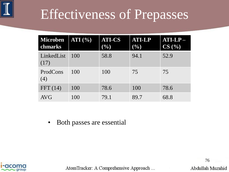

### Effectiveness of Prepasses

| <b>Microben</b><br>chmarks | ATI $(%)$ | <b>ATI-CS</b><br>(9/0) | <b>ATI-LP</b><br>$(\%)$ | $ATI-LP-$<br>CS(%) |
|----------------------------|-----------|------------------------|-------------------------|--------------------|
| LinkedList<br>(17)         | 100       | 58.8                   | 94.1                    | 52.9               |
| ProdCons<br>(4)            | 100       | 100                    | 75                      | 75                 |
| FFT(14)                    | 100       | 78.6                   | 100                     | 78.6               |
| <b>AVG</b>                 | 100       | 79.1                   | 89.7                    | 68.8               |

• Both passes are essential



AtomTracker: A Comprehensive Approach ...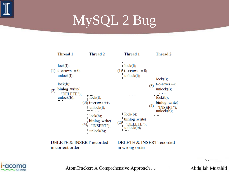

# MySQL 2 Bug





AtomTracker: A Comprehensive Approach ...

77Abdullah Muzahid